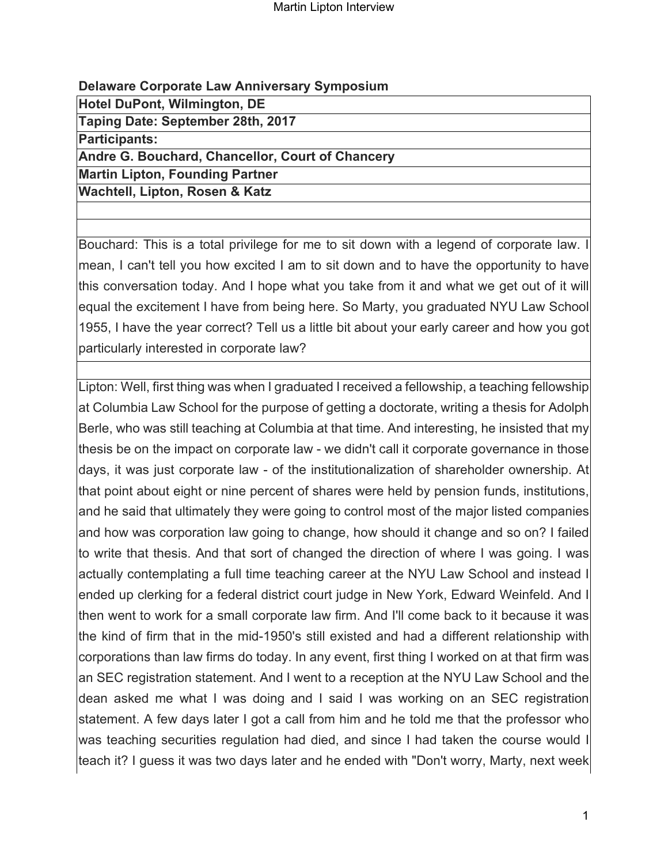# **Delaware Corporate Law Anniversary Symposium**

**Hotel DuPont, Wilmington, DE**

**Taping Date: September 28th, 2017**

**Participants:**

**Andre G. Bouchard, Chancellor, Court of Chancery**

**Martin Lipton, Founding Partner**

**Wachtell, Lipton, Rosen & Katz**

Bouchard: This is a total privilege for me to sit down with a legend of corporate law. I mean, I can't tell you how excited I am to sit down and to have the opportunity to have this conversation today. And I hope what you take from it and what we get out of it will equal the excitement I have from being here. So Marty, you graduated NYU Law School 1955, I have the year correct? Tell us a little bit about your early career and how you got particularly interested in corporate law?

Lipton: Well, first thing was when I graduated I received a fellowship, a teaching fellowship at Columbia Law School for the purpose of getting a doctorate, writing a thesis for Adolph Berle, who was still teaching at Columbia at that time. And interesting, he insisted that my thesis be on the impact on corporate law - we didn't call it corporate governance in those days, it was just corporate law - of the institutionalization of shareholder ownership. At that point about eight or nine percent of shares were held by pension funds, institutions, and he said that ultimately they were going to control most of the major listed companies and how was corporation law going to change, how should it change and so on? I failed to write that thesis. And that sort of changed the direction of where I was going. I was actually contemplating a full time teaching career at the NYU Law School and instead I ended up clerking for a federal district court judge in New York, Edward Weinfeld. And I then went to work for a small corporate law firm. And I'll come back to it because it was the kind of firm that in the mid-1950's still existed and had a different relationship with corporations than law firms do today. In any event, first thing I worked on at that firm was an SEC registration statement. And I went to a reception at the NYU Law School and the dean asked me what I was doing and I said I was working on an SEC registration statement. A few days later I got a call from him and he told me that the professor who was teaching securities regulation had died, and since I had taken the course would I teach it? I guess it was two days later and he ended with "Don't worry, Marty, next week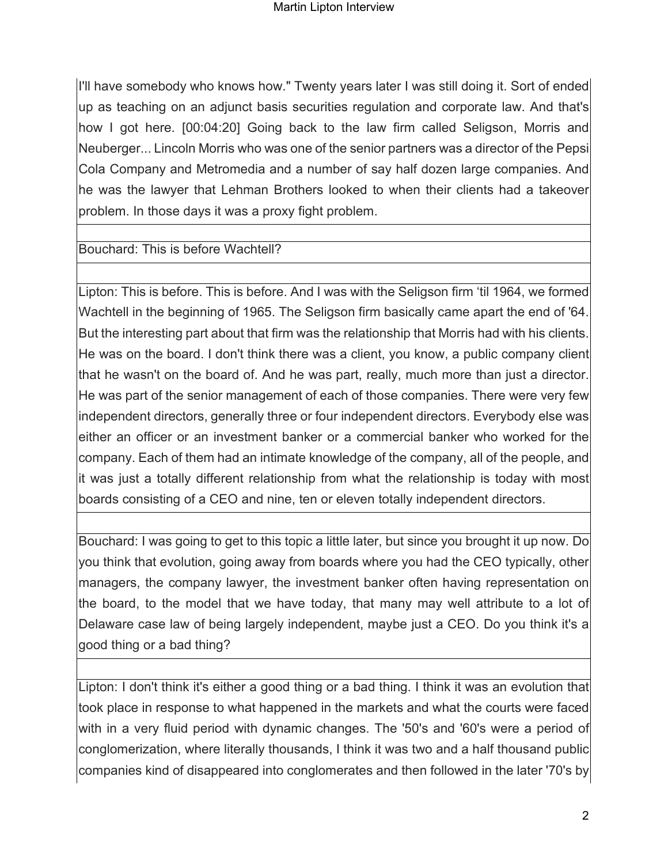I'll have somebody who knows how." Twenty years later I was still doing it. Sort of ended up as teaching on an adjunct basis securities regulation and corporate law. And that's how I got here. [00:04:20] Going back to the law firm called Seligson, Morris and Neuberger... Lincoln Morris who was one of the senior partners was a director of the Pepsi Cola Company and Metromedia and a number of say half dozen large companies. And he was the lawyer that Lehman Brothers looked to when their clients had a takeover problem. In those days it was a proxy fight problem.

## Bouchard: This is before Wachtell?

Lipton: This is before. This is before. And I was with the Seligson firm 'til 1964, we formed Wachtell in the beginning of 1965. The Seligson firm basically came apart the end of '64. But the interesting part about that firm was the relationship that Morris had with his clients. He was on the board. I don't think there was a client, you know, a public company client that he wasn't on the board of. And he was part, really, much more than just a director. He was part of the senior management of each of those companies. There were very few independent directors, generally three or four independent directors. Everybody else was either an officer or an investment banker or a commercial banker who worked for the company. Each of them had an intimate knowledge of the company, all of the people, and it was just a totally different relationship from what the relationship is today with most boards consisting of a CEO and nine, ten or eleven totally independent directors.

Bouchard: I was going to get to this topic a little later, but since you brought it up now. Do you think that evolution, going away from boards where you had the CEO typically, other managers, the company lawyer, the investment banker often having representation on the board, to the model that we have today, that many may well attribute to a lot of Delaware case law of being largely independent, maybe just a CEO. Do you think it's a good thing or a bad thing?

Lipton: I don't think it's either a good thing or a bad thing. I think it was an evolution that took place in response to what happened in the markets and what the courts were faced with in a very fluid period with dynamic changes. The '50's and '60's were a period of conglomerization, where literally thousands, I think it was two and a half thousand public companies kind of disappeared into conglomerates and then followed in the later '70's by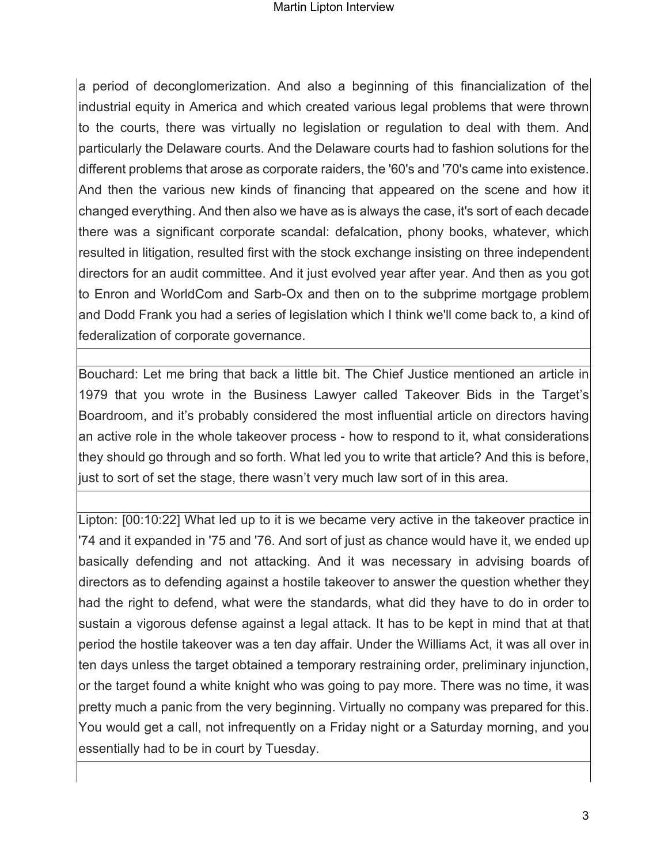#### Martin Lipton Interview

a period of deconglomerization. And also a beginning of this financialization of the industrial equity in America and which created various legal problems that were thrown to the courts, there was virtually no legislation or regulation to deal with them. And particularly the Delaware courts. And the Delaware courts had to fashion solutions for the different problems that arose as corporate raiders, the '60's and '70's came into existence. And then the various new kinds of financing that appeared on the scene and how it changed everything. And then also we have as is always the case, it's sort of each decade there was a significant corporate scandal: defalcation, phony books, whatever, which resulted in litigation, resulted first with the stock exchange insisting on three independent directors for an audit committee. And it just evolved year after year. And then as you got to Enron and WorldCom and Sarb-Ox and then on to the subprime mortgage problem and Dodd Frank you had a series of legislation which I think we'll come back to, a kind of federalization of corporate governance.

Bouchard: Let me bring that back a little bit. The Chief Justice mentioned an article in 1979 that you wrote in the Business Lawyer called Takeover Bids in the Target's Boardroom, and it's probably considered the most influential article on directors having an active role in the whole takeover process - how to respond to it, what considerations they should go through and so forth. What led you to write that article? And this is before, just to sort of set the stage, there wasn't very much law sort of in this area.

Lipton: [00:10:22] What led up to it is we became very active in the takeover practice in '74 and it expanded in '75 and '76. And sort of just as chance would have it, we ended up basically defending and not attacking. And it was necessary in advising boards of directors as to defending against a hostile takeover to answer the question whether they had the right to defend, what were the standards, what did they have to do in order to sustain a vigorous defense against a legal attack. It has to be kept in mind that at that period the hostile takeover was a ten day affair. Under the Williams Act, it was all over in ten days unless the target obtained a temporary restraining order, preliminary injunction, or the target found a white knight who was going to pay more. There was no time, it was pretty much a panic from the very beginning. Virtually no company was prepared for this. You would get a call, not infrequently on a Friday night or a Saturday morning, and you essentially had to be in court by Tuesday.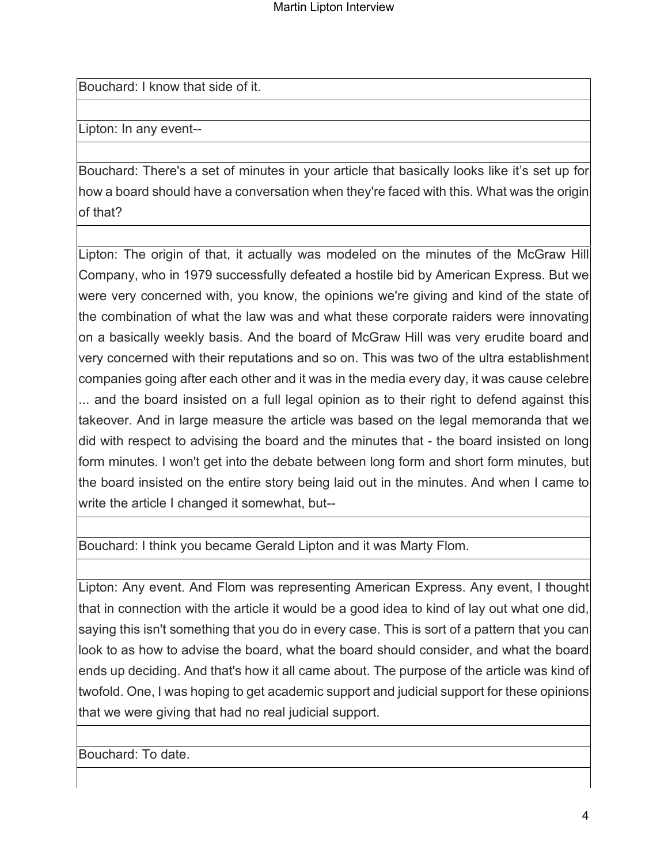Bouchard: I know that side of it.

Lipton: In any event--

Bouchard: There's a set of minutes in your article that basically looks like it's set up for how a board should have a conversation when they're faced with this. What was the origin of that?

Lipton: The origin of that, it actually was modeled on the minutes of the McGraw Hill Company, who in 1979 successfully defeated a hostile bid by American Express. But we were very concerned with, you know, the opinions we're giving and kind of the state of the combination of what the law was and what these corporate raiders were innovating on a basically weekly basis. And the board of McGraw Hill was very erudite board and very concerned with their reputations and so on. This was two of the ultra establishment companies going after each other and it was in the media every day, it was cause celebre ... and the board insisted on a full legal opinion as to their right to defend against this takeover. And in large measure the article was based on the legal memoranda that we did with respect to advising the board and the minutes that - the board insisted on long form minutes. I won't get into the debate between long form and short form minutes, but the board insisted on the entire story being laid out in the minutes. And when I came to write the article I changed it somewhat, but--

Bouchard: I think you became Gerald Lipton and it was Marty Flom.

Lipton: Any event. And Flom was representing American Express. Any event, I thought that in connection with the article it would be a good idea to kind of lay out what one did, saying this isn't something that you do in every case. This is sort of a pattern that you can look to as how to advise the board, what the board should consider, and what the board ends up deciding. And that's how it all came about. The purpose of the article was kind of twofold. One, I was hoping to get academic support and judicial support for these opinions that we were giving that had no real judicial support.

Bouchard: To date.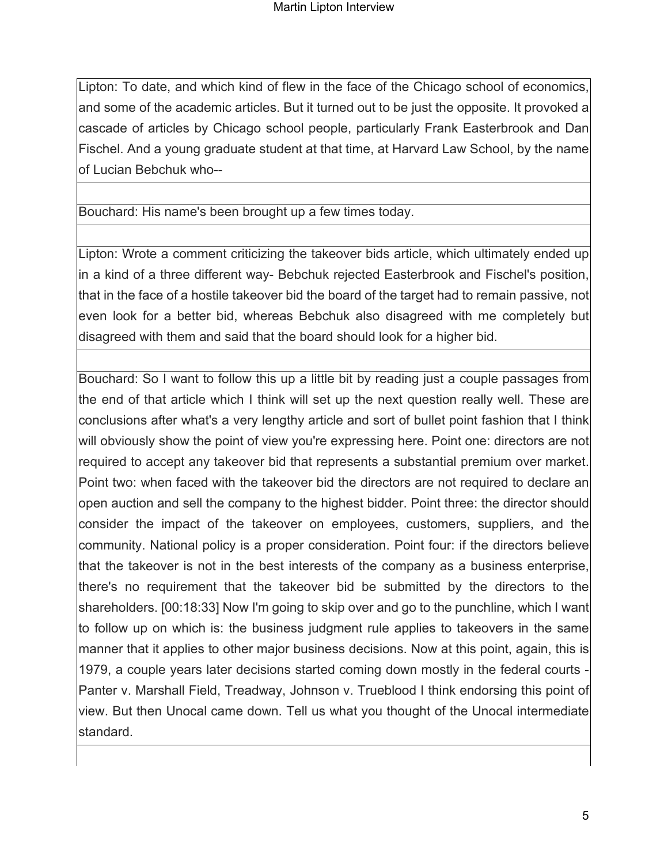Lipton: To date, and which kind of flew in the face of the Chicago school of economics, and some of the academic articles. But it turned out to be just the opposite. It provoked a cascade of articles by Chicago school people, particularly Frank Easterbrook and Dan Fischel. And a young graduate student at that time, at Harvard Law School, by the name of Lucian Bebchuk who--

### Bouchard: His name's been brought up a few times today.

Lipton: Wrote a comment criticizing the takeover bids article, which ultimately ended up in a kind of a three different way- Bebchuk rejected Easterbrook and Fischel's position, that in the face of a hostile takeover bid the board of the target had to remain passive, not even look for a better bid, whereas Bebchuk also disagreed with me completely but disagreed with them and said that the board should look for a higher bid.

Bouchard: So I want to follow this up a little bit by reading just a couple passages from the end of that article which I think will set up the next question really well. These are conclusions after what's a very lengthy article and sort of bullet point fashion that I think will obviously show the point of view you're expressing here. Point one: directors are not required to accept any takeover bid that represents a substantial premium over market. Point two: when faced with the takeover bid the directors are not required to declare an open auction and sell the company to the highest bidder. Point three: the director should consider the impact of the takeover on employees, customers, suppliers, and the community. National policy is a proper consideration. Point four: if the directors believe that the takeover is not in the best interests of the company as a business enterprise, there's no requirement that the takeover bid be submitted by the directors to the shareholders. [00:18:33] Now I'm going to skip over and go to the punchline, which I want to follow up on which is: the business judgment rule applies to takeovers in the same manner that it applies to other major business decisions. Now at this point, again, this is 1979, a couple years later decisions started coming down mostly in the federal courts -Panter v. Marshall Field, Treadway, Johnson v. Trueblood I think endorsing this point of view. But then Unocal came down. Tell us what you thought of the Unocal intermediate standard.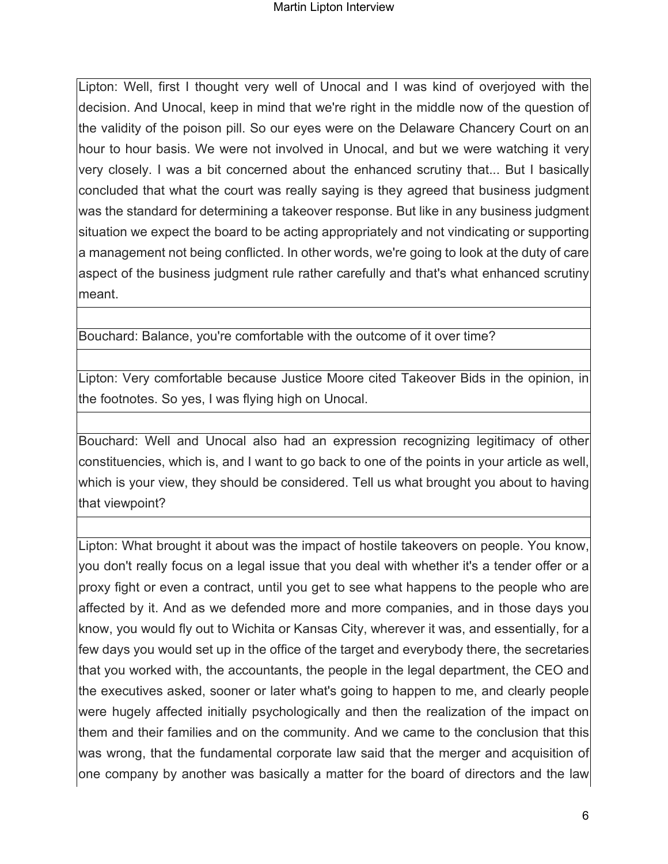Lipton: Well, first I thought very well of Unocal and I was kind of overjoyed with the decision. And Unocal, keep in mind that we're right in the middle now of the question of the validity of the poison pill. So our eyes were on the Delaware Chancery Court on an hour to hour basis. We were not involved in Unocal, and but we were watching it very very closely. I was a bit concerned about the enhanced scrutiny that... But I basically concluded that what the court was really saying is they agreed that business judgment was the standard for determining a takeover response. But like in any business judgment situation we expect the board to be acting appropriately and not vindicating or supporting a management not being conflicted. In other words, we're going to look at the duty of care aspect of the business judgment rule rather carefully and that's what enhanced scrutiny meant.

Bouchard: Balance, you're comfortable with the outcome of it over time?

Lipton: Very comfortable because Justice Moore cited Takeover Bids in the opinion, in the footnotes. So yes, I was flying high on Unocal.

Bouchard: Well and Unocal also had an expression recognizing legitimacy of other constituencies, which is, and I want to go back to one of the points in your article as well, which is your view, they should be considered. Tell us what brought you about to having that viewpoint?

Lipton: What brought it about was the impact of hostile takeovers on people. You know, you don't really focus on a legal issue that you deal with whether it's a tender offer or a proxy fight or even a contract, until you get to see what happens to the people who are affected by it. And as we defended more and more companies, and in those days you know, you would fly out to Wichita or Kansas City, wherever it was, and essentially, for a few days you would set up in the office of the target and everybody there, the secretaries that you worked with, the accountants, the people in the legal department, the CEO and the executives asked, sooner or later what's going to happen to me, and clearly people were hugely affected initially psychologically and then the realization of the impact on them and their families and on the community. And we came to the conclusion that this was wrong, that the fundamental corporate law said that the merger and acquisition of one company by another was basically a matter for the board of directors and the law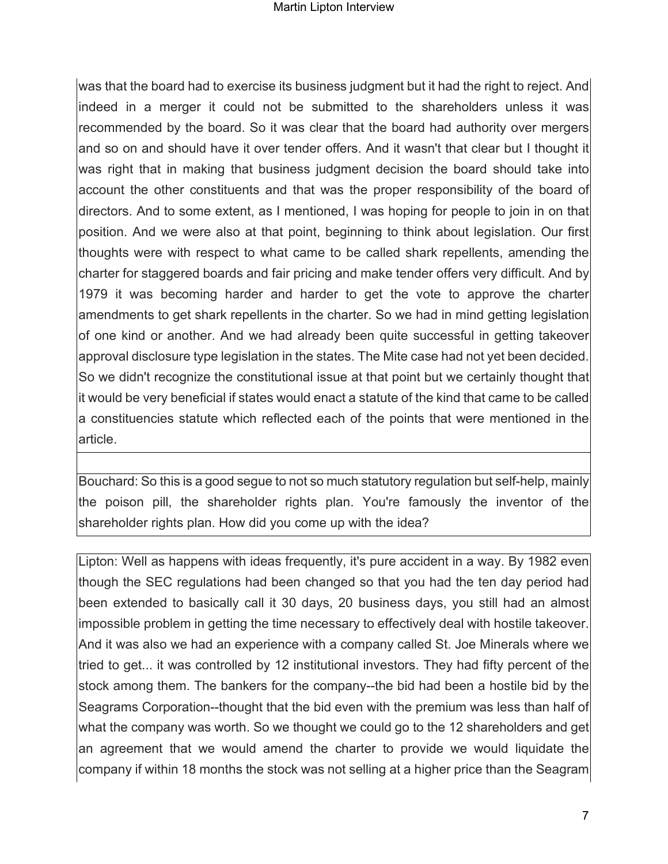was that the board had to exercise its business judgment but it had the right to reject. And indeed in a merger it could not be submitted to the shareholders unless it was recommended by the board. So it was clear that the board had authority over mergers and so on and should have it over tender offers. And it wasn't that clear but I thought it was right that in making that business judgment decision the board should take into account the other constituents and that was the proper responsibility of the board of directors. And to some extent, as I mentioned, I was hoping for people to join in on that position. And we were also at that point, beginning to think about legislation. Our first thoughts were with respect to what came to be called shark repellents, amending the charter for staggered boards and fair pricing and make tender offers very difficult. And by 1979 it was becoming harder and harder to get the vote to approve the charter amendments to get shark repellents in the charter. So we had in mind getting legislation of one kind or another. And we had already been quite successful in getting takeover approval disclosure type legislation in the states. The Mite case had not yet been decided. So we didn't recognize the constitutional issue at that point but we certainly thought that it would be very beneficial if states would enact a statute of the kind that came to be called a constituencies statute which reflected each of the points that were mentioned in the article.

Bouchard: So this is a good segue to not so much statutory regulation but self-help, mainly the poison pill, the shareholder rights plan. You're famously the inventor of the shareholder rights plan. How did you come up with the idea?

Lipton: Well as happens with ideas frequently, it's pure accident in a way. By 1982 even though the SEC regulations had been changed so that you had the ten day period had been extended to basically call it 30 days, 20 business days, you still had an almost impossible problem in getting the time necessary to effectively deal with hostile takeover. And it was also we had an experience with a company called St. Joe Minerals where we tried to get... it was controlled by 12 institutional investors. They had fifty percent of the stock among them. The bankers for the company--the bid had been a hostile bid by the Seagrams Corporation--thought that the bid even with the premium was less than half of what the company was worth. So we thought we could go to the 12 shareholders and get an agreement that we would amend the charter to provide we would liquidate the company if within 18 months the stock was not selling at a higher price than the Seagram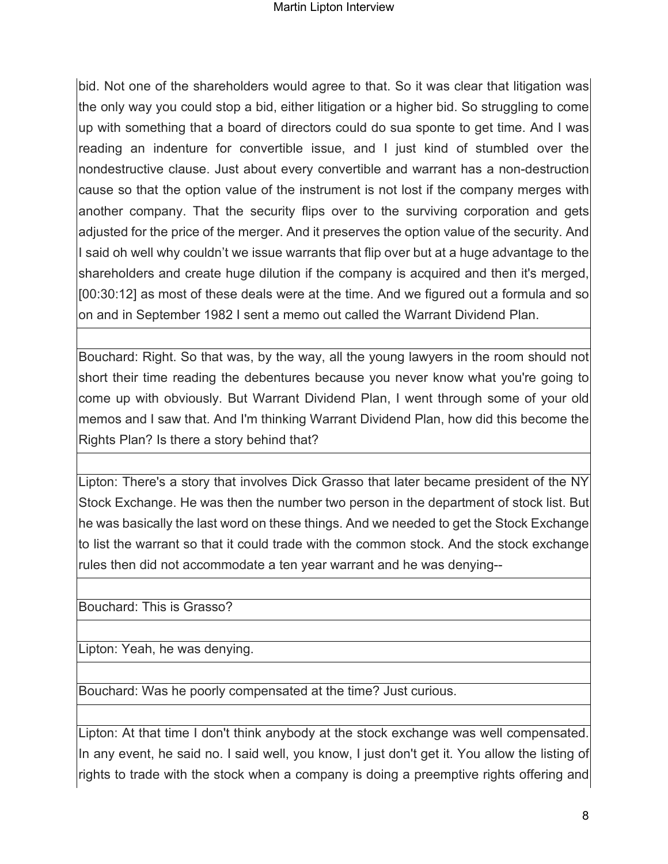bid. Not one of the shareholders would agree to that. So it was clear that litigation was the only way you could stop a bid, either litigation or a higher bid. So struggling to come up with something that a board of directors could do sua sponte to get time. And I was reading an indenture for convertible issue, and I just kind of stumbled over the nondestructive clause. Just about every convertible and warrant has a non-destruction cause so that the option value of the instrument is not lost if the company merges with another company. That the security flips over to the surviving corporation and gets adjusted for the price of the merger. And it preserves the option value of the security. And I said oh well why couldn't we issue warrants that flip over but at a huge advantage to the shareholders and create huge dilution if the company is acquired and then it's merged, [00:30:12] as most of these deals were at the time. And we figured out a formula and so on and in September 1982 I sent a memo out called the Warrant Dividend Plan.

Bouchard: Right. So that was, by the way, all the young lawyers in the room should not short their time reading the debentures because you never know what you're going to come up with obviously. But Warrant Dividend Plan, I went through some of your old memos and I saw that. And I'm thinking Warrant Dividend Plan, how did this become the Rights Plan? Is there a story behind that?

Lipton: There's a story that involves Dick Grasso that later became president of the NY Stock Exchange. He was then the number two person in the department of stock list. But he was basically the last word on these things. And we needed to get the Stock Exchange to list the warrant so that it could trade with the common stock. And the stock exchange rules then did not accommodate a ten year warrant and he was denying--

Bouchard: This is Grasso?

Lipton: Yeah, he was denying.

Bouchard: Was he poorly compensated at the time? Just curious.

Lipton: At that time I don't think anybody at the stock exchange was well compensated. In any event, he said no. I said well, you know, I just don't get it. You allow the listing of rights to trade with the stock when a company is doing a preemptive rights offering and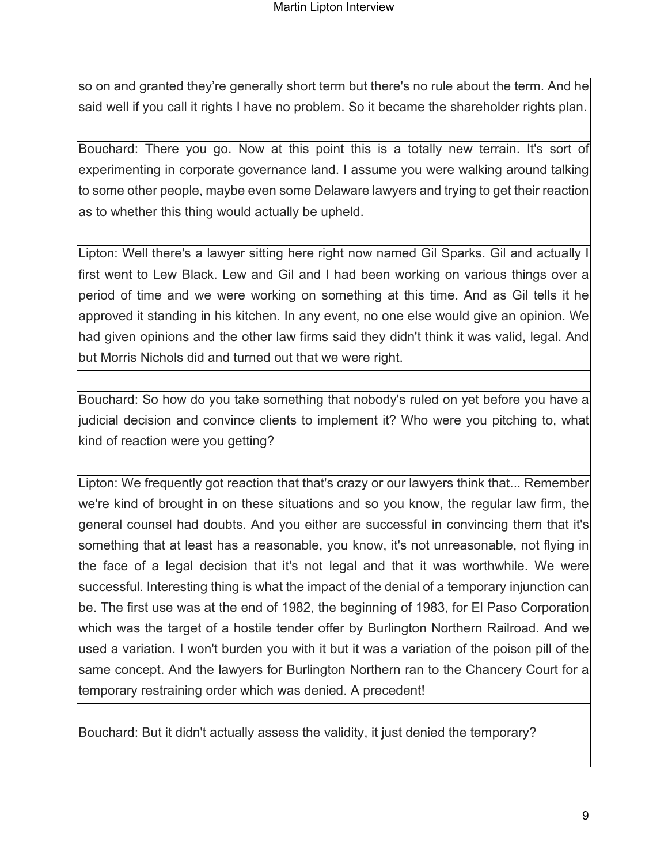so on and granted they're generally short term but there's no rule about the term. And he said well if you call it rights I have no problem. So it became the shareholder rights plan.

Bouchard: There you go. Now at this point this is a totally new terrain. It's sort of experimenting in corporate governance land. I assume you were walking around talking to some other people, maybe even some Delaware lawyers and trying to get their reaction as to whether this thing would actually be upheld.

Lipton: Well there's a lawyer sitting here right now named Gil Sparks. Gil and actually I first went to Lew Black. Lew and Gil and I had been working on various things over a period of time and we were working on something at this time. And as Gil tells it he approved it standing in his kitchen. In any event, no one else would give an opinion. We had given opinions and the other law firms said they didn't think it was valid, legal. And but Morris Nichols did and turned out that we were right.

Bouchard: So how do you take something that nobody's ruled on yet before you have a judicial decision and convince clients to implement it? Who were you pitching to, what kind of reaction were you getting?

Lipton: We frequently got reaction that that's crazy or our lawyers think that... Remember we're kind of brought in on these situations and so you know, the regular law firm, the general counsel had doubts. And you either are successful in convincing them that it's something that at least has a reasonable, you know, it's not unreasonable, not flying in the face of a legal decision that it's not legal and that it was worthwhile. We were successful. Interesting thing is what the impact of the denial of a temporary injunction can be. The first use was at the end of 1982, the beginning of 1983, for El Paso Corporation which was the target of a hostile tender offer by Burlington Northern Railroad. And we used a variation. I won't burden you with it but it was a variation of the poison pill of the same concept. And the lawyers for Burlington Northern ran to the Chancery Court for a temporary restraining order which was denied. A precedent!

Bouchard: But it didn't actually assess the validity, it just denied the temporary?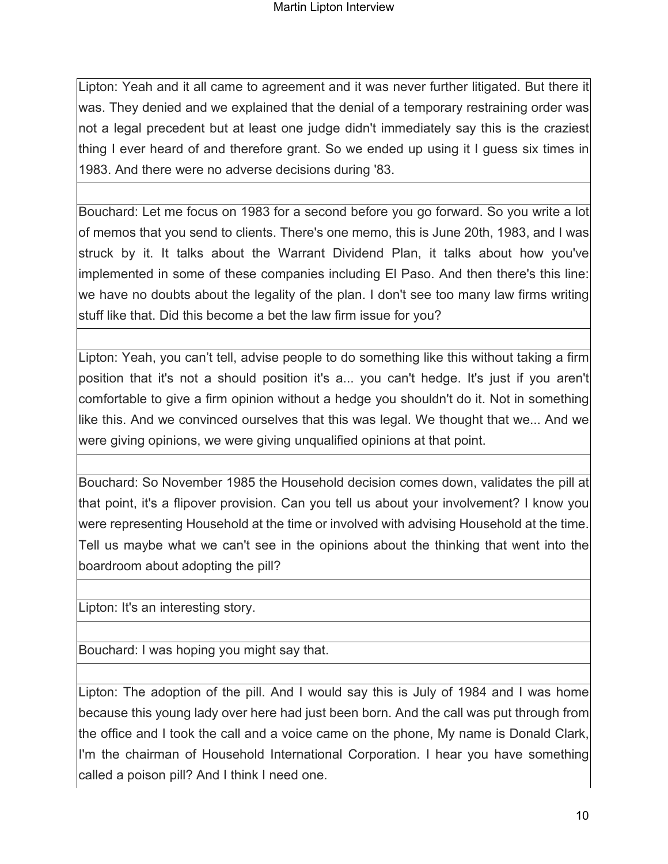Lipton: Yeah and it all came to agreement and it was never further litigated. But there it was. They denied and we explained that the denial of a temporary restraining order was not a legal precedent but at least one judge didn't immediately say this is the craziest thing I ever heard of and therefore grant. So we ended up using it I guess six times in 1983. And there were no adverse decisions during '83.

Bouchard: Let me focus on 1983 for a second before you go forward. So you write a lot of memos that you send to clients. There's one memo, this is June 20th, 1983, and I was struck by it. It talks about the Warrant Dividend Plan, it talks about how you've implemented in some of these companies including El Paso. And then there's this line: we have no doubts about the legality of the plan. I don't see too many law firms writing stuff like that. Did this become a bet the law firm issue for you?

Lipton: Yeah, you can't tell, advise people to do something like this without taking a firm position that it's not a should position it's a... you can't hedge. It's just if you aren't comfortable to give a firm opinion without a hedge you shouldn't do it. Not in something like this. And we convinced ourselves that this was legal. We thought that we... And we were giving opinions, we were giving unqualified opinions at that point.

Bouchard: So November 1985 the Household decision comes down, validates the pill at that point, it's a flipover provision. Can you tell us about your involvement? I know you were representing Household at the time or involved with advising Household at the time. Tell us maybe what we can't see in the opinions about the thinking that went into the boardroom about adopting the pill?

Lipton: It's an interesting story.

Bouchard: I was hoping you might say that.

Lipton: The adoption of the pill. And I would say this is July of 1984 and I was home because this young lady over here had just been born. And the call was put through from the office and I took the call and a voice came on the phone, My name is Donald Clark, I'm the chairman of Household International Corporation. I hear you have something called a poison pill? And I think I need one.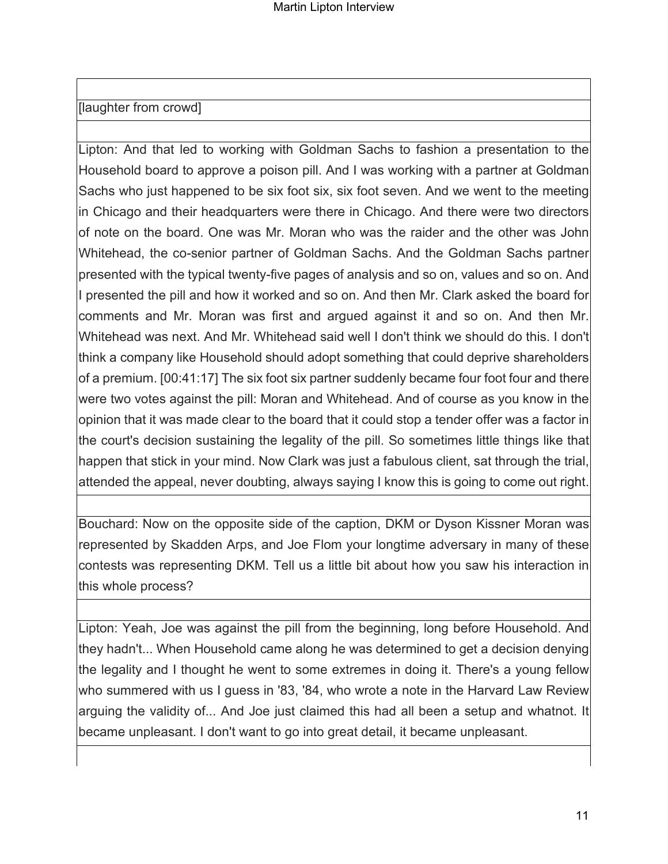### [laughter from crowd]

Lipton: And that led to working with Goldman Sachs to fashion a presentation to the Household board to approve a poison pill. And I was working with a partner at Goldman Sachs who just happened to be six foot six, six foot seven. And we went to the meeting in Chicago and their headquarters were there in Chicago. And there were two directors of note on the board. One was Mr. Moran who was the raider and the other was John Whitehead, the co-senior partner of Goldman Sachs. And the Goldman Sachs partner presented with the typical twenty-five pages of analysis and so on, values and so on. And I presented the pill and how it worked and so on. And then Mr. Clark asked the board for comments and Mr. Moran was first and argued against it and so on. And then Mr. Whitehead was next. And Mr. Whitehead said well I don't think we should do this. I don't think a company like Household should adopt something that could deprive shareholders of a premium. [00:41:17] The six foot six partner suddenly became four foot four and there were two votes against the pill: Moran and Whitehead. And of course as you know in the opinion that it was made clear to the board that it could stop a tender offer was a factor in the court's decision sustaining the legality of the pill. So sometimes little things like that happen that stick in your mind. Now Clark was just a fabulous client, sat through the trial, attended the appeal, never doubting, always saying I know this is going to come out right.

Bouchard: Now on the opposite side of the caption, DKM or Dyson Kissner Moran was represented by Skadden Arps, and Joe Flom your longtime adversary in many of these contests was representing DKM. Tell us a little bit about how you saw his interaction in this whole process?

Lipton: Yeah, Joe was against the pill from the beginning, long before Household. And they hadn't... When Household came along he was determined to get a decision denying the legality and I thought he went to some extremes in doing it. There's a young fellow who summered with us I guess in '83, '84, who wrote a note in the Harvard Law Review arguing the validity of... And Joe just claimed this had all been a setup and whatnot. It became unpleasant. I don't want to go into great detail, it became unpleasant.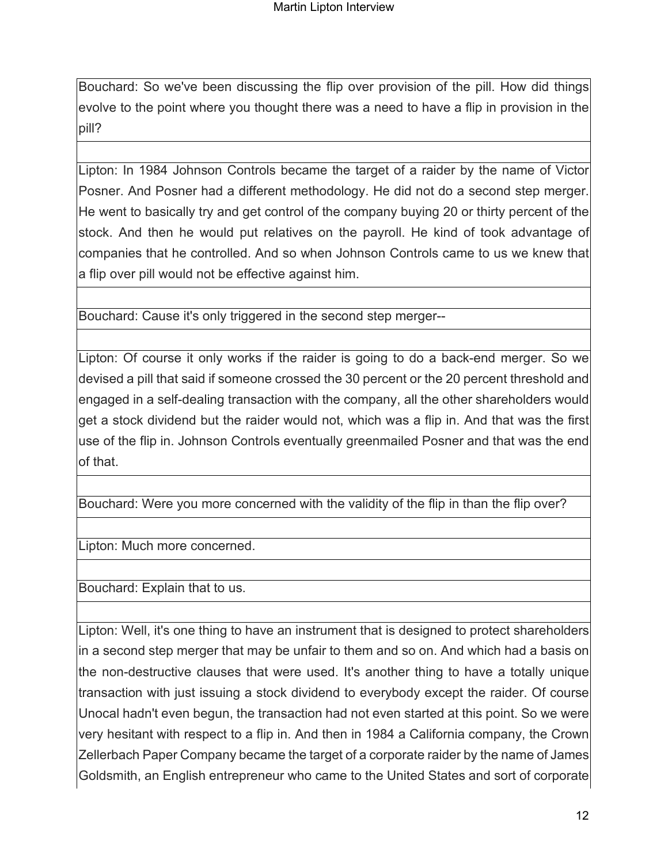Bouchard: So we've been discussing the flip over provision of the pill. How did things evolve to the point where you thought there was a need to have a flip in provision in the pill?

Lipton: In 1984 Johnson Controls became the target of a raider by the name of Victor Posner. And Posner had a different methodology. He did not do a second step merger. He went to basically try and get control of the company buying 20 or thirty percent of the stock. And then he would put relatives on the payroll. He kind of took advantage of companies that he controlled. And so when Johnson Controls came to us we knew that a flip over pill would not be effective against him.

Bouchard: Cause it's only triggered in the second step merger--

Lipton: Of course it only works if the raider is going to do a back-end merger. So we devised a pill that said if someone crossed the 30 percent or the 20 percent threshold and engaged in a self-dealing transaction with the company, all the other shareholders would get a stock dividend but the raider would not, which was a flip in. And that was the first use of the flip in. Johnson Controls eventually greenmailed Posner and that was the end of that.

Bouchard: Were you more concerned with the validity of the flip in than the flip over?

Lipton: Much more concerned.

Bouchard: Explain that to us.

Lipton: Well, it's one thing to have an instrument that is designed to protect shareholders in a second step merger that may be unfair to them and so on. And which had a basis on the non-destructive clauses that were used. It's another thing to have a totally unique transaction with just issuing a stock dividend to everybody except the raider. Of course Unocal hadn't even begun, the transaction had not even started at this point. So we were very hesitant with respect to a flip in. And then in 1984 a California company, the Crown Zellerbach Paper Company became the target of a corporate raider by the name of James Goldsmith, an English entrepreneur who came to the United States and sort of corporate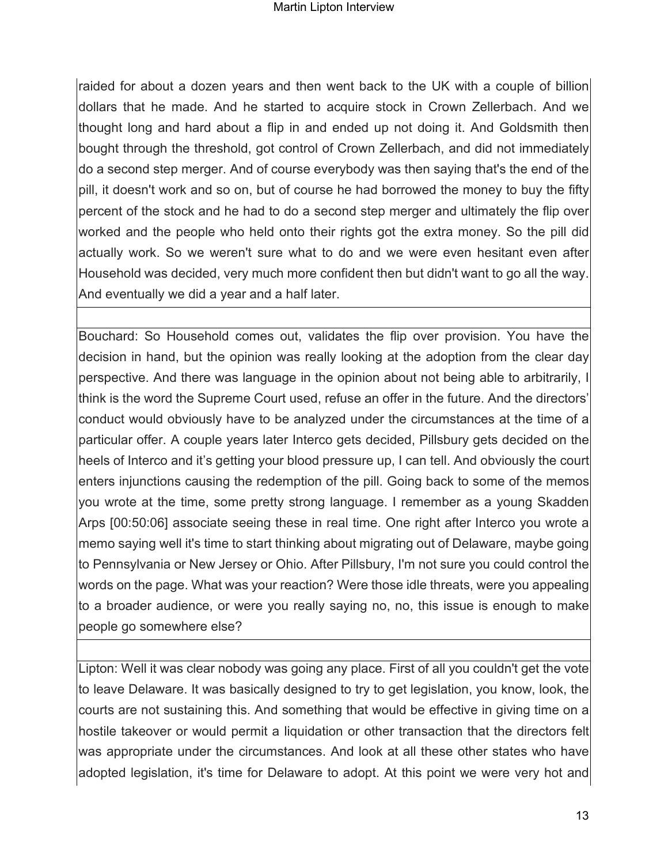raided for about a dozen years and then went back to the UK with a couple of billion dollars that he made. And he started to acquire stock in Crown Zellerbach. And we thought long and hard about a flip in and ended up not doing it. And Goldsmith then bought through the threshold, got control of Crown Zellerbach, and did not immediately do a second step merger. And of course everybody was then saying that's the end of the pill, it doesn't work and so on, but of course he had borrowed the money to buy the fifty percent of the stock and he had to do a second step merger and ultimately the flip over worked and the people who held onto their rights got the extra money. So the pill did actually work. So we weren't sure what to do and we were even hesitant even after Household was decided, very much more confident then but didn't want to go all the way. And eventually we did a year and a half later.

Bouchard: So Household comes out, validates the flip over provision. You have the decision in hand, but the opinion was really looking at the adoption from the clear day perspective. And there was language in the opinion about not being able to arbitrarily, I think is the word the Supreme Court used, refuse an offer in the future. And the directors' conduct would obviously have to be analyzed under the circumstances at the time of a particular offer. A couple years later Interco gets decided, Pillsbury gets decided on the heels of Interco and it's getting your blood pressure up, I can tell. And obviously the court enters injunctions causing the redemption of the pill. Going back to some of the memos you wrote at the time, some pretty strong language. I remember as a young Skadden Arps [00:50:06] associate seeing these in real time. One right after Interco you wrote a memo saying well it's time to start thinking about migrating out of Delaware, maybe going to Pennsylvania or New Jersey or Ohio. After Pillsbury, I'm not sure you could control the words on the page. What was your reaction? Were those idle threats, were you appealing to a broader audience, or were you really saying no, no, this issue is enough to make people go somewhere else?

Lipton: Well it was clear nobody was going any place. First of all you couldn't get the vote to leave Delaware. It was basically designed to try to get legislation, you know, look, the courts are not sustaining this. And something that would be effective in giving time on a hostile takeover or would permit a liquidation or other transaction that the directors felt was appropriate under the circumstances. And look at all these other states who have adopted legislation, it's time for Delaware to adopt. At this point we were very hot and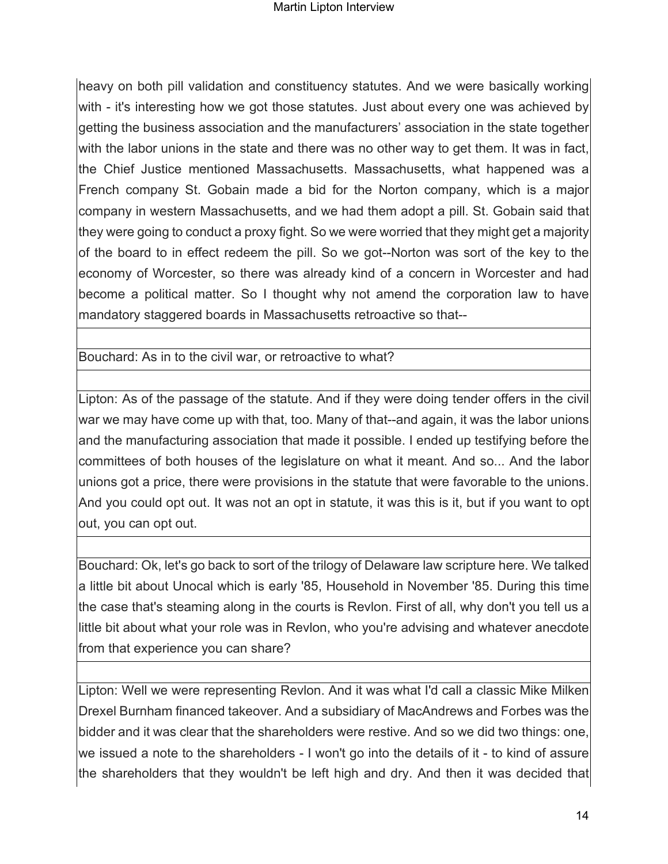heavy on both pill validation and constituency statutes. And we were basically working with - it's interesting how we got those statutes. Just about every one was achieved by getting the business association and the manufacturers' association in the state together with the labor unions in the state and there was no other way to get them. It was in fact, the Chief Justice mentioned Massachusetts. Massachusetts, what happened was a French company St. Gobain made a bid for the Norton company, which is a major company in western Massachusetts, and we had them adopt a pill. St. Gobain said that they were going to conduct a proxy fight. So we were worried that they might get a majority of the board to in effect redeem the pill. So we got--Norton was sort of the key to the economy of Worcester, so there was already kind of a concern in Worcester and had become a political matter. So I thought why not amend the corporation law to have mandatory staggered boards in Massachusetts retroactive so that--

Bouchard: As in to the civil war, or retroactive to what?

Lipton: As of the passage of the statute. And if they were doing tender offers in the civil war we may have come up with that, too. Many of that--and again, it was the labor unions and the manufacturing association that made it possible. I ended up testifying before the committees of both houses of the legislature on what it meant. And so... And the labor unions got a price, there were provisions in the statute that were favorable to the unions. And you could opt out. It was not an opt in statute, it was this is it, but if you want to opt out, you can opt out.

Bouchard: Ok, let's go back to sort of the trilogy of Delaware law scripture here. We talked a little bit about Unocal which is early '85, Household in November '85. During this time the case that's steaming along in the courts is Revlon. First of all, why don't you tell us a little bit about what your role was in Revlon, who you're advising and whatever anecdote from that experience you can share?

Lipton: Well we were representing Revlon. And it was what I'd call a classic Mike Milken Drexel Burnham financed takeover. And a subsidiary of MacAndrews and Forbes was the bidder and it was clear that the shareholders were restive. And so we did two things: one, we issued a note to the shareholders - I won't go into the details of it - to kind of assure the shareholders that they wouldn't be left high and dry. And then it was decided that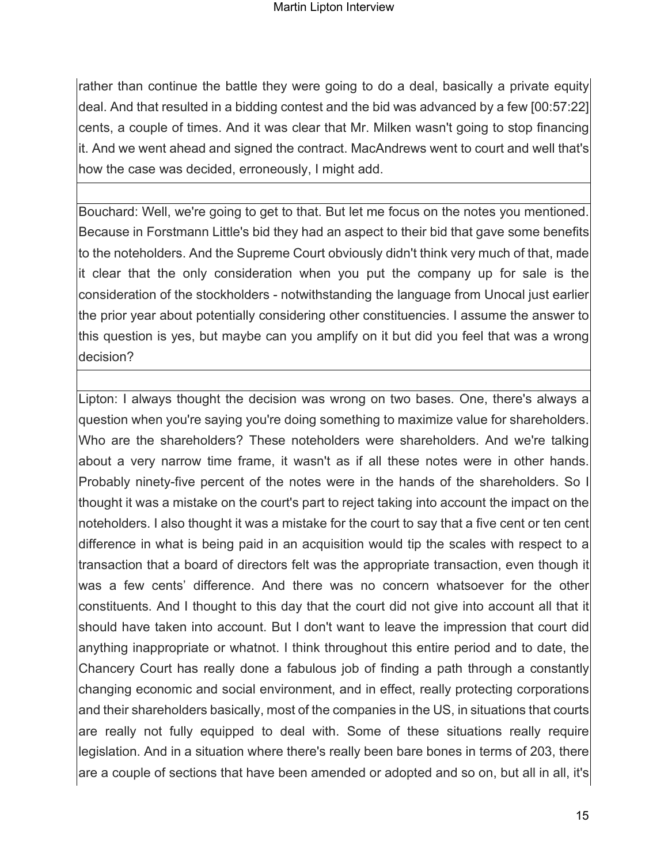rather than continue the battle they were going to do a deal, basically a private equity deal. And that resulted in a bidding contest and the bid was advanced by a few [00:57:22] cents, a couple of times. And it was clear that Mr. Milken wasn't going to stop financing it. And we went ahead and signed the contract. MacAndrews went to court and well that's how the case was decided, erroneously, I might add.

Bouchard: Well, we're going to get to that. But let me focus on the notes you mentioned. Because in Forstmann Little's bid they had an aspect to their bid that gave some benefits to the noteholders. And the Supreme Court obviously didn't think very much of that, made it clear that the only consideration when you put the company up for sale is the consideration of the stockholders - notwithstanding the language from Unocal just earlier the prior year about potentially considering other constituencies. I assume the answer to this question is yes, but maybe can you amplify on it but did you feel that was a wrong decision?

Lipton: I always thought the decision was wrong on two bases. One, there's always a question when you're saying you're doing something to maximize value for shareholders. Who are the shareholders? These noteholders were shareholders. And we're talking about a very narrow time frame, it wasn't as if all these notes were in other hands. Probably ninety-five percent of the notes were in the hands of the shareholders. So I thought it was a mistake on the court's part to reject taking into account the impact on the noteholders. I also thought it was a mistake for the court to say that a five cent or ten cent difference in what is being paid in an acquisition would tip the scales with respect to a transaction that a board of directors felt was the appropriate transaction, even though it was a few cents' difference. And there was no concern whatsoever for the other constituents. And I thought to this day that the court did not give into account all that it should have taken into account. But I don't want to leave the impression that court did anything inappropriate or whatnot. I think throughout this entire period and to date, the Chancery Court has really done a fabulous job of finding a path through a constantly changing economic and social environment, and in effect, really protecting corporations and their shareholders basically, most of the companies in the US, in situations that courts are really not fully equipped to deal with. Some of these situations really require legislation. And in a situation where there's really been bare bones in terms of 203, there are a couple of sections that have been amended or adopted and so on, but all in all, it's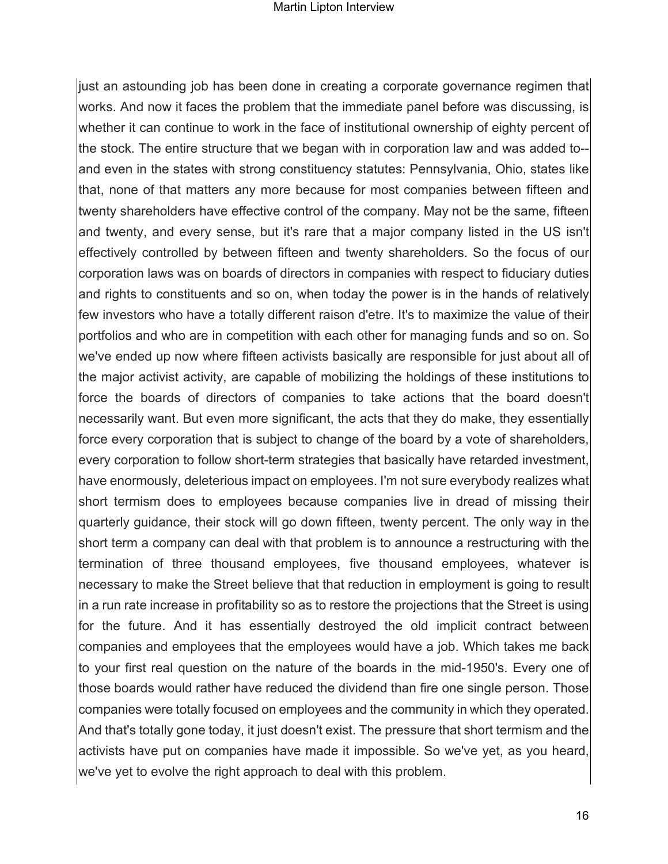#### Martin Lipton Interview

just an astounding job has been done in creating a corporate governance regimen that works. And now it faces the problem that the immediate panel before was discussing, is whether it can continue to work in the face of institutional ownership of eighty percent of the stock. The entire structure that we began with in corporation law and was added to- and even in the states with strong constituency statutes: Pennsylvania, Ohio, states like that, none of that matters any more because for most companies between fifteen and twenty shareholders have effective control of the company. May not be the same, fifteen and twenty, and every sense, but it's rare that a major company listed in the US isn't effectively controlled by between fifteen and twenty shareholders. So the focus of our corporation laws was on boards of directors in companies with respect to fiduciary duties and rights to constituents and so on, when today the power is in the hands of relatively few investors who have a totally different raison d'etre. It's to maximize the value of their portfolios and who are in competition with each other for managing funds and so on. So we've ended up now where fifteen activists basically are responsible for just about all of the major activist activity, are capable of mobilizing the holdings of these institutions to force the boards of directors of companies to take actions that the board doesn't necessarily want. But even more significant, the acts that they do make, they essentially force every corporation that is subject to change of the board by a vote of shareholders, every corporation to follow short-term strategies that basically have retarded investment, have enormously, deleterious impact on employees. I'm not sure everybody realizes what short termism does to employees because companies live in dread of missing their quarterly guidance, their stock will go down fifteen, twenty percent. The only way in the short term a company can deal with that problem is to announce a restructuring with the termination of three thousand employees, five thousand employees, whatever is necessary to make the Street believe that that reduction in employment is going to result in a run rate increase in profitability so as to restore the projections that the Street is using for the future. And it has essentially destroyed the old implicit contract between companies and employees that the employees would have a job. Which takes me back to your first real question on the nature of the boards in the mid-1950's. Every one of those boards would rather have reduced the dividend than fire one single person. Those companies were totally focused on employees and the community in which they operated. And that's totally gone today, it just doesn't exist. The pressure that short termism and the activists have put on companies have made it impossible. So we've yet, as you heard, we've yet to evolve the right approach to deal with this problem.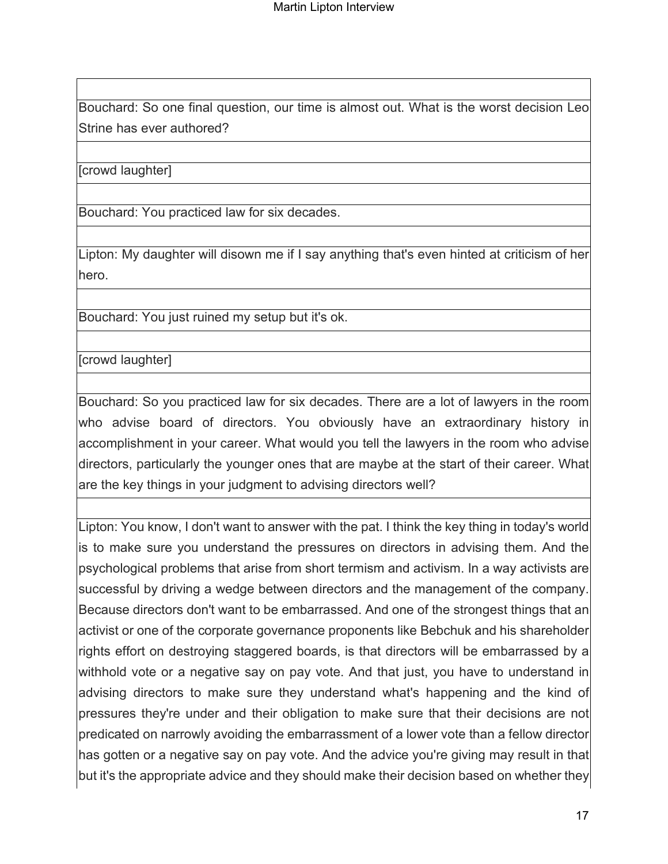Bouchard: So one final question, our time is almost out. What is the worst decision Leo Strine has ever authored?

[crowd laughter]

Bouchard: You practiced law for six decades.

Lipton: My daughter will disown me if I say anything that's even hinted at criticism of her hero.

Bouchard: You just ruined my setup but it's ok.

[crowd laughter]

Bouchard: So you practiced law for six decades. There are a lot of lawyers in the room who advise board of directors. You obviously have an extraordinary history in accomplishment in your career. What would you tell the lawyers in the room who advise directors, particularly the younger ones that are maybe at the start of their career. What are the key things in your judgment to advising directors well?

Lipton: You know, I don't want to answer with the pat. I think the key thing in today's world is to make sure you understand the pressures on directors in advising them. And the psychological problems that arise from short termism and activism. In a way activists are successful by driving a wedge between directors and the management of the company. Because directors don't want to be embarrassed. And one of the strongest things that an activist or one of the corporate governance proponents like Bebchuk and his shareholder rights effort on destroying staggered boards, is that directors will be embarrassed by a withhold vote or a negative say on pay vote. And that just, you have to understand in advising directors to make sure they understand what's happening and the kind of pressures they're under and their obligation to make sure that their decisions are not predicated on narrowly avoiding the embarrassment of a lower vote than a fellow director has gotten or a negative say on pay vote. And the advice you're giving may result in that but it's the appropriate advice and they should make their decision based on whether they